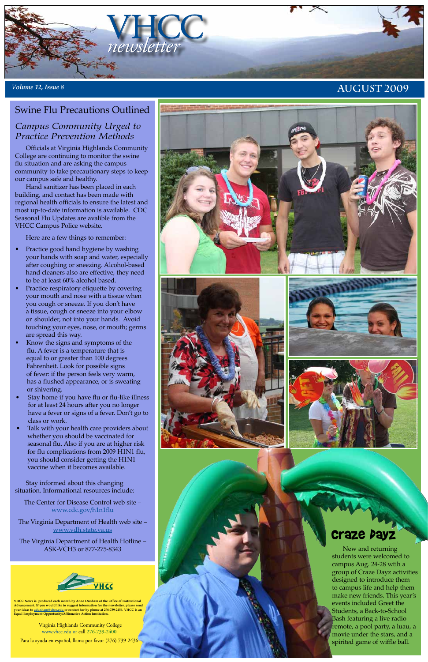Virginia Highlands Community College [www.vhcc.edu or](http://www.vhcc.edu) call 276-739-2400

Para la ayuda en español, llama por favor (276) 739-2436

**VHCC News is produced each month by Anne Dunham of the Office of Institutional Advancement. If you would like to suggest information for the newsletter, please send your ideas to [adunham@vhcc.edu or](mailto:adunham@vhcc.edu) contact her by phone at 276-739-2456. VHCC is an Equal Employment Opportunity/Affirmative Action Institution.**



#### *<sup>V</sup>olume 12, Issue 8* **August 2009**



 Officials at Virginia Highlands Community College ar e continuing to monitor th e swine flu situation an d ar e asking th e campus community to take precautionary steps to keep ou r campus safe an d healthy.

 Hand sanitizer ha s been placed in each building, an d contact ha s been made with regional health officials to ensure th e latest an d most up-to-date information is available. CD C Seasonal Fl u Updates ar e avalible from th e VHCC Campus Police website.

 Here ar e a fe w things to remember:

- Practice good hand hygiene by washing your hands with soap an d water, especially after coughing or sneezing. Alcohol-based hand cleaners also ar e effective, they need t o be at least 60 % alcohol based.
- Practice respiratory etiquette by covering your mouth an d nose with a tissue when you cough or sneeze. If yo u don't have a tissue, cough or sneeze into your elbow or shoulder, not into your hands. Avoid touching your eyes, nose, or mouth; germs are spread this way.
- Know the signs and symptoms of the flu. A fever is a temperature that is equal to or greater than 10 0 degrees Fahrenheit. Look fo r possible signs o f fever: if th e person feels very warm, has a flushed appearance, or is sweating o r shivering.
- Stay home if you have flu or flu-like illness fo r at least 24 hours after yo u no longer have a fever or signs of a fever. Don't go to class or work.
- Talk with your health care providers about whether yo u should be vaccinated fo r seasonal flu . Also if yo u ar e at higher risk fo r flu complications from 2009 H1N1 flu , yo u should consider getting th e H1N1 vaccine when it becomes available.

 Stay informed about this changing

situation. Informational resources include:

Th e Center fo r Disease Control we b site – [www.cdc.gov/h1n1flu](http://www.cdc.gov/h1n1flu)

Th e Virginia Department of Health we b site – [www.vdh.state.va.us](http://www.vdh.state.va.us)

The Virginia Department of Health Hotline – ASK-VCH3 or 877-275-8343



#### Swine Flu Precautions Outlined

#### *Campus Community Urged to Practice Prevention Methods*

## Craze Dayz

 New and returning students were welcomed to campus Aug. 24-28 wtih a group of Craze Dayz activities designed to introduce them to campus life an d help them make ne w friends. This year's events included Greet th e Students, a Back-to-School Bash featuring a live radio remote, a pool party, a luau, a movie under th e stars, an d a spirited game of wiffle ball.